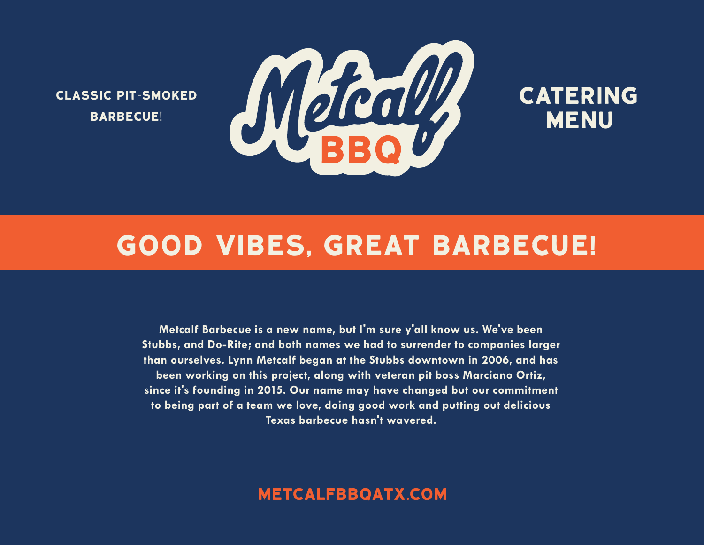CLASSIC PIT-SMOKED BARBECUE!



# **CATERING** MENU

# GOOD VIBES, GREAT BARBECUE!

**Metcalf Barbecue is a new name, but I'm sure y'all know us. We've been Stubbs, and Do-Rite; and both names we had to surrender to companies larger than ourselves. Lynn Metcalf began at the Stubbs downtown in 2006, and has been working on this project, along with veteran pit boss Marciano Ortiz, since it's founding in 2015. Our name may have changed but our commitment to being part of a team we love, doing good work and putting out delicious Texas barbecue hasn't wavered.**

# metcalfbbqatx.COM